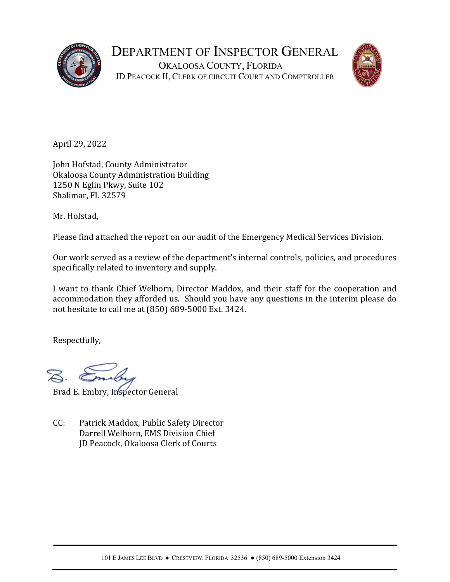



April 29, 2022

John Hofstad, County Administrator Okaloosa County Administration Building 1250 N Eglin Pkwy, Suite 102 Shalimar, FL 32579

Mr. Hofstad,

Please find attached the report on our audit of the Emergency Medical Services Division.

Our work served as a review of the department's internal controls, policies, and procedures specifically related to inventory and supply.

I want to thank Chief Welborn, Director Maddox, and their staff for the cooperation and accommodation they afforded us. Should you have any questions in the interim please do not hesitate to call me at (850) 689-5000 Ext. 3424.

Respectfully,

Brad E. Embry, Inspector General

CC: Patrick Maddox, Public Safety Director Darrell Welborn, EMS Division Chief JD Peacock, Okaloosa Clerk of Courts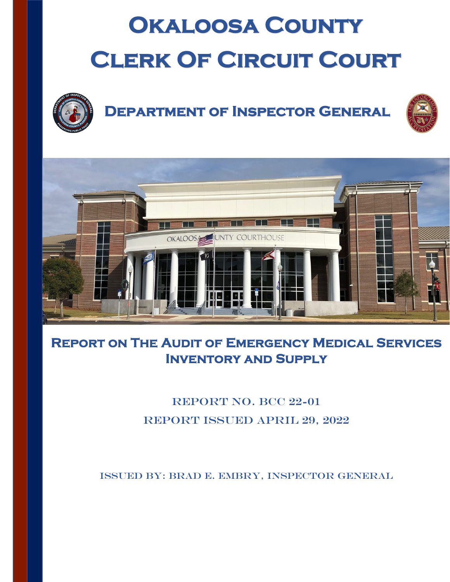# **Okaloosa County CLERK OF CIRCUIT COURT**



## **Department of Inspector General**





## **Report on The Audit of Emergency Medical Services Inventory and Supply**

## REPORT NO. BCC 22-01 Report Issued April 29, 2022

Issued By: Brad E. Embry, Inspector General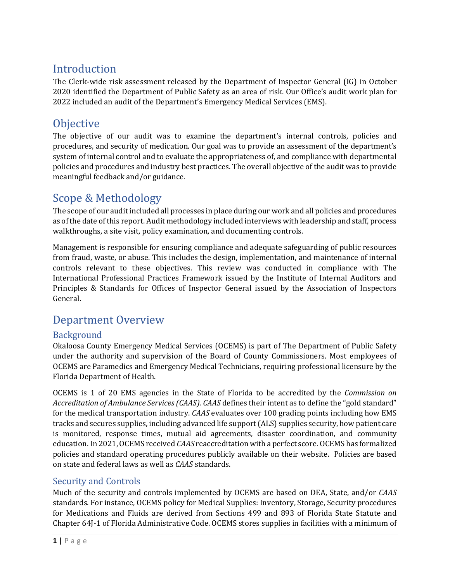#### Introduction

The Clerk-wide risk assessment released by the Department of Inspector General (IG) in October 2020 identified the Department of Public Safety as an area of risk. Our Office's audit work plan for 2022 included an audit of the Department's Emergency Medical Services (EMS).

#### **Objective**

The objective of our audit was to examine the department's internal controls, policies and procedures, and security of medication. Our goal was to provide an assessment of the department's system of internal control and to evaluate the appropriateness of, and compliance with departmental policies and procedures and industry best practices. The overall objective of the audit was to provide meaningful feedback and/or guidance.

### Scope & Methodology

The scope of our audit included all processes in place during our work and all policies and procedures as of the date of this report. Audit methodology included interviews with leadership and staff, process walkthroughs, a site visit, policy examination, and documenting controls.

Management is responsible for ensuring compliance and adequate safeguarding of public resources from fraud, waste, or abuse. This includes the design, implementation, and maintenance of internal controls relevant to these objectives. This review was conducted in compliance with The International Professional Practices Framework issued by the Institute of Internal Auditors and Principles & Standards for Offices of Inspector General issued by the Association of Inspectors General.

#### Department Overview

#### **Background**

Okaloosa County Emergency Medical Services (OCEMS) is part of The Department of Public Safety under the authority and supervision of the Board of County Commissioners. Most employees of OCEMS are Paramedics and Emergency Medical Technicians, requiring professional licensure by the Florida Department of Health.

OCEMS is 1 of 20 EMS agencies in the State of Florida to be accredited by the *Commission on Accreditation of Ambulance Services (CAAS)*. *CAAS* defines their intent as to define the "gold standard" for the medical transportation industry. *CAAS* evaluates over 100 grading points including how EMS tracks and secures supplies, including advanced life support (ALS) supplies security, how patient care is monitored, response times, mutual aid agreements, disaster coordination, and community education. In 2021, OCEMS received *CAAS* reaccreditation with a perfect score. OCEMS has formalized policies and standard operating procedures publicly available on their website. Policies are based on state and federal laws as well as *CAAS* standards.

#### Security and Controls

Much of the security and controls implemented by OCEMS are based on DEA, State, and/or *CAAS* standards. For instance, OCEMS policy for Medical Supplies: Inventory, Storage, Security procedures for Medications and Fluids are derived from Sections 499 and 893 of Florida State Statute and Chapter 64J-1 of Florida Administrative Code. OCEMS stores supplies in facilities with a minimum of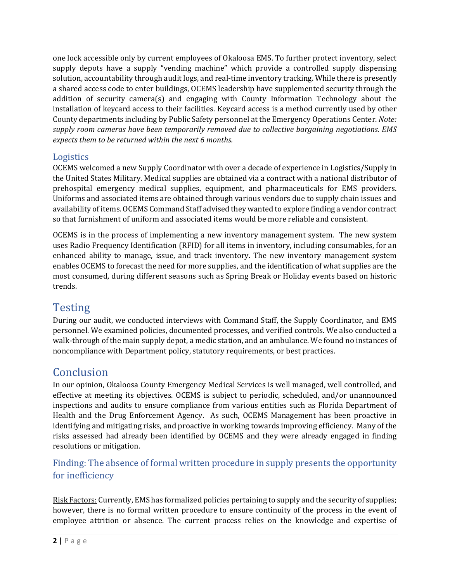one lock accessible only by current employees of Okaloosa EMS. To further protect inventory, select supply depots have a supply "vending machine" which provide a controlled supply dispensing solution, accountability through audit logs, and real-time inventory tracking. While there is presently a shared access code to enter buildings, OCEMS leadership have supplemented security through the addition of security camera(s) and engaging with County Information Technology about the installation of keycard access to their facilities. Keycard access is a method currently used by other County departments including by Public Safety personnel at the Emergency Operations Center. *Note: supply room cameras have been temporarily removed due to collective bargaining negotiations. EMS expects them to be returned within the next 6 months.*

#### Logistics

OCEMS welcomed a new Supply Coordinator with over a decade of experience in Logistics/Supply in the United States Military. Medical supplies are obtained via a contract with a national distributor of prehospital emergency medical supplies, equipment, and pharmaceuticals for EMS providers. Uniforms and associated items are obtained through various vendors due to supply chain issues and availability of items. OCEMS Command Staff advised they wanted to explore finding a vendor contract so that furnishment of uniform and associated items would be more reliable and consistent.

OCEMS is in the process of implementing a new inventory management system. The new system uses Radio Frequency Identification (RFID) for all items in inventory, including consumables, for an enhanced ability to manage, issue, and track inventory. The new inventory management system enables OCEMS to forecast the need for more supplies, and the identification of what supplies are the most consumed, during different seasons such as Spring Break or Holiday events based on historic trends.

## **Testing**

During our audit, we conducted interviews with Command Staff, the Supply Coordinator, and EMS personnel. We examined policies, documented processes, and verified controls. We also conducted a walk-through of the main supply depot, a medic station, and an ambulance. We found no instances of noncompliance with Department policy, statutory requirements, or best practices.

#### **Conclusion**

In our opinion, Okaloosa County Emergency Medical Services is well managed, well controlled, and effective at meeting its objectives. OCEMS is subject to periodic, scheduled, and/or unannounced inspections and audits to ensure compliance from various entities such as Florida Department of Health and the Drug Enforcement Agency. As such, OCEMS Management has been proactive in identifying and mitigating risks, and proactive in working towards improving efficiency. Many of the risks assessed had already been identified by OCEMS and they were already engaged in finding resolutions or mitigation.

#### Finding: The absence of formal written procedure in supply presents the opportunity for inefficiency

Risk Factors: Currently, EMS has formalized policies pertaining to supply and the security of supplies; however, there is no formal written procedure to ensure continuity of the process in the event of employee attrition or absence. The current process relies on the knowledge and expertise of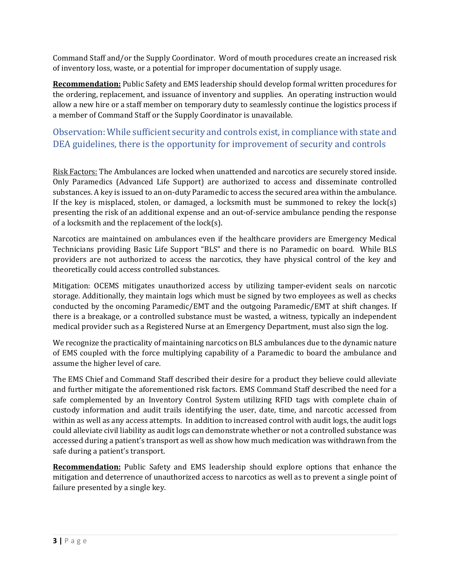Command Staff and/or the Supply Coordinator. Word of mouth procedures create an increased risk of inventory loss, waste, or a potential for improper documentation of supply usage.

**Recommendation:** Public Safety and EMS leadership should develop formal written procedures for the ordering, replacement, and issuance of inventory and supplies. An operating instruction would allow a new hire or a staff member on temporary duty to seamlessly continue the logistics process if a member of Command Staff or the Supply Coordinator is unavailable.

#### Observation: While sufficient security and controls exist, in compliance with state and DEA guidelines, there is the opportunity for improvement of security and controls

Risk Factors: The Ambulances are locked when unattended and narcotics are securely stored inside. Only Paramedics (Advanced Life Support) are authorized to access and disseminate controlled substances. A key is issued to an on-duty Paramedic to access the secured area within the ambulance. If the key is misplaced, stolen, or damaged, a locksmith must be summoned to rekey the  $lock(s)$ presenting the risk of an additional expense and an out-of-service ambulance pending the response of a locksmith and the replacement of the lock(s).

Narcotics are maintained on ambulances even if the healthcare providers are Emergency Medical Technicians providing Basic Life Support "BLS" and there is no Paramedic on board. While BLS providers are not authorized to access the narcotics, they have physical control of the key and theoretically could access controlled substances.

Mitigation: OCEMS mitigates unauthorized access by utilizing tamper-evident seals on narcotic storage. Additionally, they maintain logs which must be signed by two employees as well as checks conducted by the oncoming Paramedic/EMT and the outgoing Paramedic/EMT at shift changes. If there is a breakage, or a controlled substance must be wasted, a witness, typically an independent medical provider such as a Registered Nurse at an Emergency Department, must also sign the log.

We recognize the practicality of maintaining narcotics on BLS ambulances due to the dynamic nature of EMS coupled with the force multiplying capability of a Paramedic to board the ambulance and assume the higher level of care.

The EMS Chief and Command Staff described their desire for a product they believe could alleviate and further mitigate the aforementioned risk factors. EMS Command Staff described the need for a safe complemented by an Inventory Control System utilizing RFID tags with complete chain of custody information and audit trails identifying the user, date, time, and narcotic accessed from within as well as any access attempts. In addition to increased control with audit logs, the audit logs could alleviate civil liability as audit logs can demonstrate whether or not a controlled substance was accessed during a patient's transport as well as show how much medication was withdrawn from the safe during a patient's transport.

**Recommendation:** Public Safety and EMS leadership should explore options that enhance the mitigation and deterrence of unauthorized access to narcotics as well as to prevent a single point of failure presented by a single key.